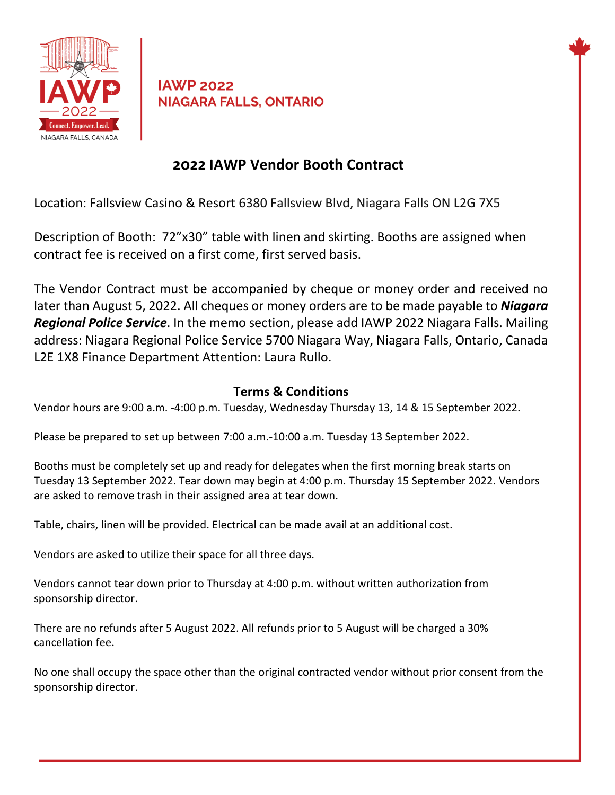

**IAWP 2022 NIAGARA FALLS, ONTARIO** 

## **2022 IAWP Vendor Booth Contract**

Location: Fallsview Casino & Resort 6380 Fallsview Blvd, Niagara Falls ON L2G 7X5

Description of Booth: 72"x30" table with linen and skirting. Booths are assigned when contract fee is received on a first come, first served basis.

The Vendor Contract must be accompanied by cheque or money order and received no later than August 5, 2022. All cheques or money orders are to be made payable to *Niagara Regional Police Service*. In the memo section, please add IAWP 2022 Niagara Falls. Mailing address: Niagara Regional Police Service 5700 Niagara Way, Niagara Falls, Ontario, Canada L2E 1X8 Finance Department Attention: Laura Rullo.

## **Terms & Conditions**

Vendor hours are 9:00 a.m. -4:00 p.m. Tuesday, Wednesday Thursday 13, 14 & 15 September 2022.

Please be prepared to set up between 7:00 a.m.-10:00 a.m. Tuesday 13 September 2022.

Booths must be completely set up and ready for delegates when the first morning break starts on Tuesday 13 September 2022. Tear down may begin at 4:00 p.m. Thursday 15 September 2022. Vendors are asked to remove trash in their assigned area at tear down.

Table, chairs, linen will be provided. Electrical can be made avail at an additional cost.

Vendors are asked to utilize their space for all three days.

Vendors cannot tear down prior to Thursday at 4:00 p.m. without written authorization from sponsorship director.

There are no refunds after 5 August 2022. All refunds prior to 5 August will be charged a 30% cancellation fee.

No one shall occupy the space other than the original contracted vendor without prior consent from the sponsorship director.